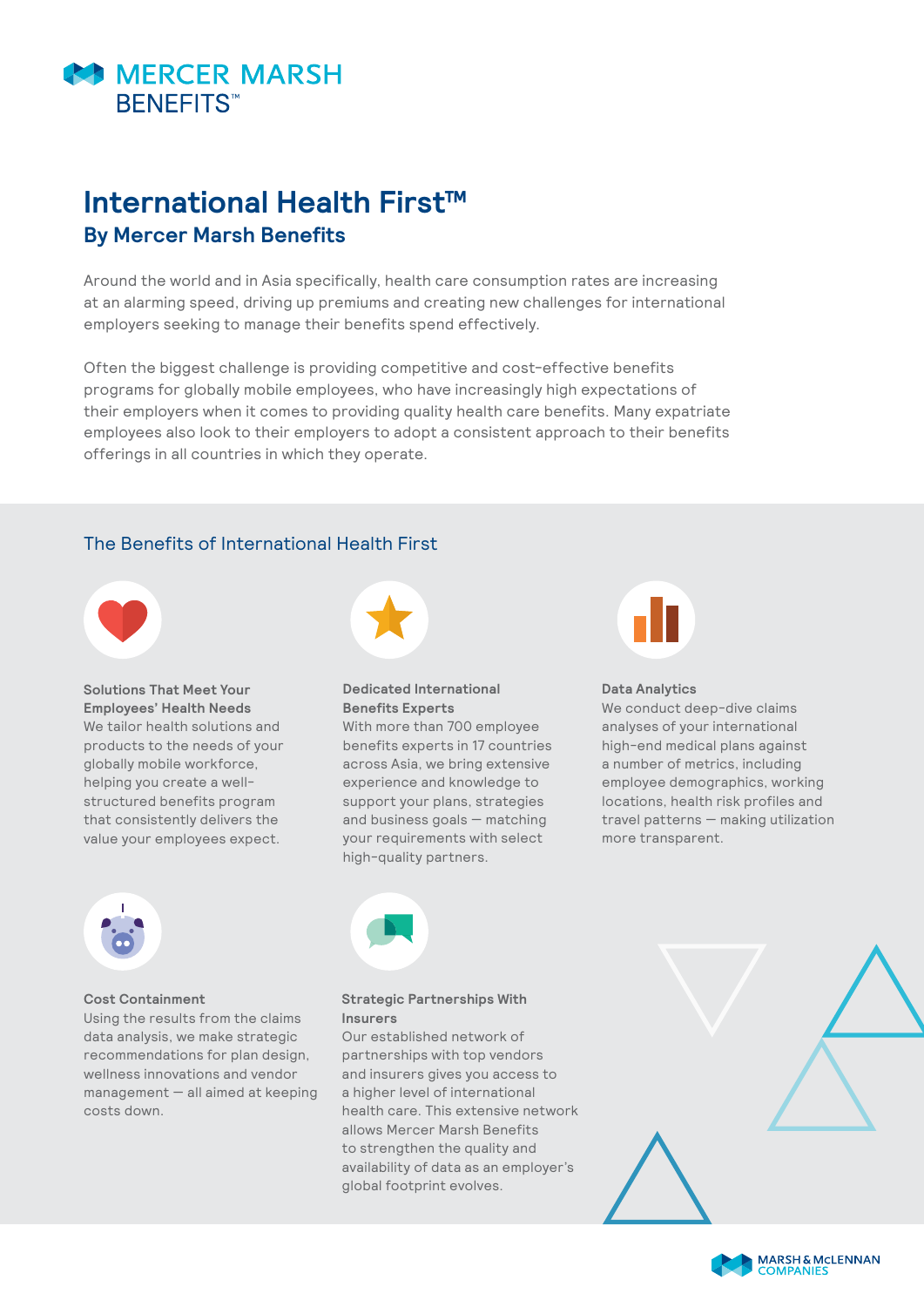

# **International Health First™ By Mercer Marsh Benefits**

Around the world and in Asia specifically, health care consumption rates are increasing at an alarming speed, driving up premiums and creating new challenges for international employers seeking to manage their benefits spend effectively.

Often the biggest challenge is providing competitive and cost-effective benefits programs for globally mobile employees, who have increasingly high expectations of their employers when it comes to providing quality health care benefits. Many expatriate employees also look to their employers to adopt a consistent approach to their benefits offerings in all countries in which they operate.

## The Benefits of International Health First



**Solutions That Meet Your Employees' Health Needs** We tailor health solutions and products to the needs of your globally mobile workforce, helping you create a wellstructured benefits program that consistently delivers the value your employees expect.



### **Dedicated International Benefits Experts**

With more than 700 employee benefits experts in 17 countries across Asia, we bring extensive experience and knowledge to support your plans, strategies and business goals — matching your requirements with select high-quality partners.



#### **Data Analytics**

We conduct deep-dive claims analyses of your international high-end medical plans against a number of metrics, including employee demographics, working locations, health risk profiles and travel patterns — making utilization more transparent.



#### **Cost Containment**

Using the results from the claims data analysis, we make strategic recommendations for plan design, wellness innovations and vendor management — all aimed at keeping costs down.



### **Strategic Partnerships With Insurers**

Our established network of partnerships with top vendors and insurers gives you access to a higher level of international health care. This extensive network allows Mercer Marsh Benefits to strengthen the quality and availability of data as an employer's global footprint evolves.